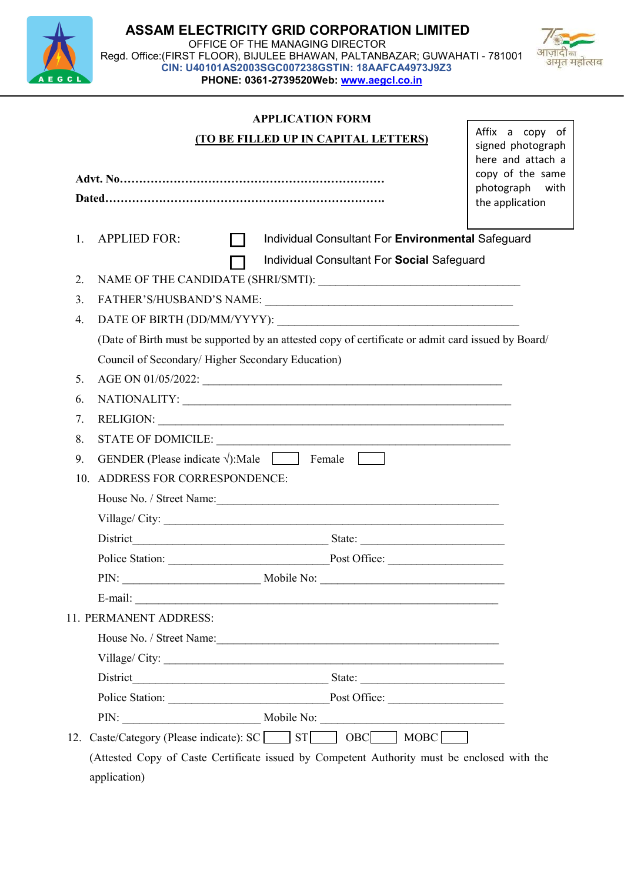



#### APPLICATION FORM

|                                                                                                    |                                                                                              |                |  | (TO BE FILLED UP IN CAPITAL LETTERS)                                                            | Affix a copy of<br>signed photograph<br>here and attach a |  |  |  |
|----------------------------------------------------------------------------------------------------|----------------------------------------------------------------------------------------------|----------------|--|-------------------------------------------------------------------------------------------------|-----------------------------------------------------------|--|--|--|
| copy of the same<br>photograph                                                                     |                                                                                              |                |  |                                                                                                 |                                                           |  |  |  |
|                                                                                                    |                                                                                              |                |  |                                                                                                 | the application                                           |  |  |  |
| 1.                                                                                                 | <b>APPLIED FOR:</b>                                                                          | $\blacksquare$ |  | Individual Consultant For Environmental Safeguard<br>Individual Consultant For Social Safeguard |                                                           |  |  |  |
| 2.                                                                                                 |                                                                                              |                |  |                                                                                                 |                                                           |  |  |  |
| 3.                                                                                                 |                                                                                              |                |  |                                                                                                 |                                                           |  |  |  |
| 4.                                                                                                 |                                                                                              |                |  |                                                                                                 |                                                           |  |  |  |
| (Date of Birth must be supported by an attested copy of certificate or admit card issued by Board/ |                                                                                              |                |  |                                                                                                 |                                                           |  |  |  |
|                                                                                                    | Council of Secondary/Higher Secondary Education)                                             |                |  |                                                                                                 |                                                           |  |  |  |
| 5.                                                                                                 |                                                                                              |                |  |                                                                                                 |                                                           |  |  |  |
| 6.                                                                                                 |                                                                                              |                |  |                                                                                                 |                                                           |  |  |  |
| 7.                                                                                                 |                                                                                              |                |  |                                                                                                 |                                                           |  |  |  |
| 8.                                                                                                 | RELIGION:                                                                                    |                |  |                                                                                                 |                                                           |  |  |  |
| 9.                                                                                                 | GENDER (Please indicate $\sqrt{ }$ ):Male $\boxed{\phantom{ }}$ Female $\boxed{\phantom{ }}$ |                |  |                                                                                                 |                                                           |  |  |  |
| 10.                                                                                                | ADDRESS FOR CORRESPONDENCE:                                                                  |                |  |                                                                                                 |                                                           |  |  |  |
|                                                                                                    |                                                                                              |                |  |                                                                                                 |                                                           |  |  |  |
|                                                                                                    |                                                                                              |                |  |                                                                                                 |                                                           |  |  |  |
|                                                                                                    |                                                                                              |                |  |                                                                                                 |                                                           |  |  |  |
|                                                                                                    |                                                                                              |                |  |                                                                                                 |                                                           |  |  |  |
|                                                                                                    |                                                                                              |                |  |                                                                                                 |                                                           |  |  |  |
|                                                                                                    | E-mail:                                                                                      |                |  |                                                                                                 |                                                           |  |  |  |
|                                                                                                    | 11. PERMANENT ADDRESS:                                                                       |                |  |                                                                                                 |                                                           |  |  |  |
|                                                                                                    |                                                                                              |                |  |                                                                                                 |                                                           |  |  |  |
|                                                                                                    |                                                                                              |                |  |                                                                                                 |                                                           |  |  |  |
|                                                                                                    | District                                                                                     |                |  |                                                                                                 |                                                           |  |  |  |
|                                                                                                    |                                                                                              |                |  | Police Station: Post Office:                                                                    |                                                           |  |  |  |
|                                                                                                    |                                                                                              |                |  |                                                                                                 |                                                           |  |  |  |
|                                                                                                    |                                                                                              |                |  | 12. Caste/Category (Please indicate): SC ST ST OBC MOBC                                         |                                                           |  |  |  |
|                                                                                                    |                                                                                              |                |  | (Attested Copy of Caste Certificate issued by Competent Authority must be enclosed with the     |                                                           |  |  |  |

application)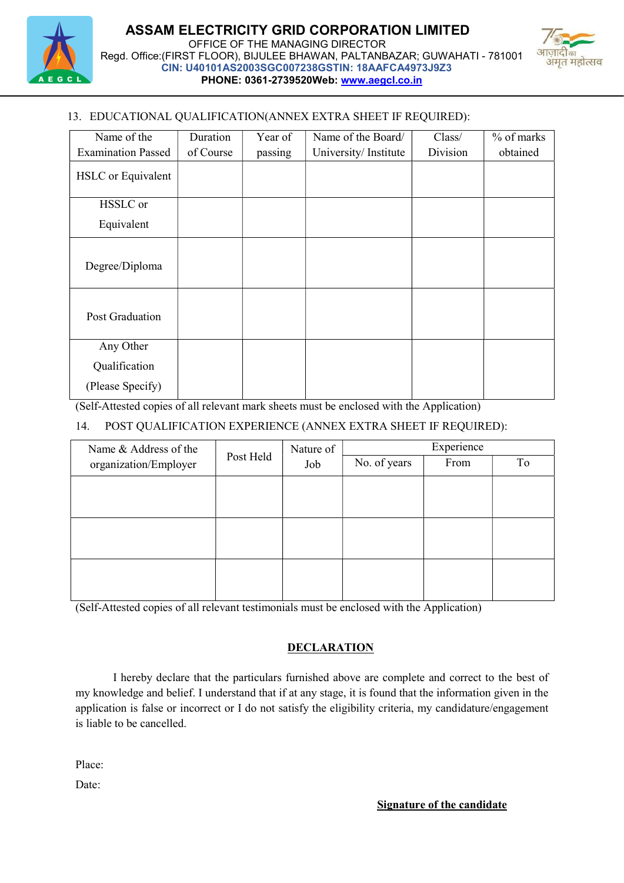



# 13. EDUCATIONAL QUALIFICATION(ANNEX EXTRA SHEET IF REQUIRED):

| Name of the               | Duration  | Year of | Name of the Board/   | Class/   | % of marks |
|---------------------------|-----------|---------|----------------------|----------|------------|
| <b>Examination Passed</b> | of Course | passing | University/Institute | Division | obtained   |
| <b>HSLC</b> or Equivalent |           |         |                      |          |            |
| HSSLC or                  |           |         |                      |          |            |
| Equivalent                |           |         |                      |          |            |
| Degree/Diploma            |           |         |                      |          |            |
| Post Graduation           |           |         |                      |          |            |
| Any Other                 |           |         |                      |          |            |
| Qualification             |           |         |                      |          |            |
| (Please Specify)          |           |         |                      |          |            |

(Self-Attested copies of all relevant mark sheets must be enclosed with the Application)

### 14. POST QUALIFICATION EXPERIENCE (ANNEX EXTRA SHEET IF REQUIRED):

| Name & Address of the | Post Held | Nature of<br>Job | Experience   |      |    |
|-----------------------|-----------|------------------|--------------|------|----|
| organization/Employer |           |                  | No. of years | From | To |
|                       |           |                  |              |      |    |
|                       |           |                  |              |      |    |
|                       |           |                  |              |      |    |
|                       |           |                  |              |      |    |
|                       |           |                  |              |      |    |
|                       |           |                  |              |      |    |

(Self-Attested copies of all relevant testimonials must be enclosed with the Application)

# **DECLARATION**

I hereby declare that the particulars furnished above are complete and correct to the best of my knowledge and belief. I understand that if at any stage, it is found that the information given in the application is false or incorrect or I do not satisfy the eligibility criteria, my candidature/engagement is liable to be cancelled.

Place:

Date: